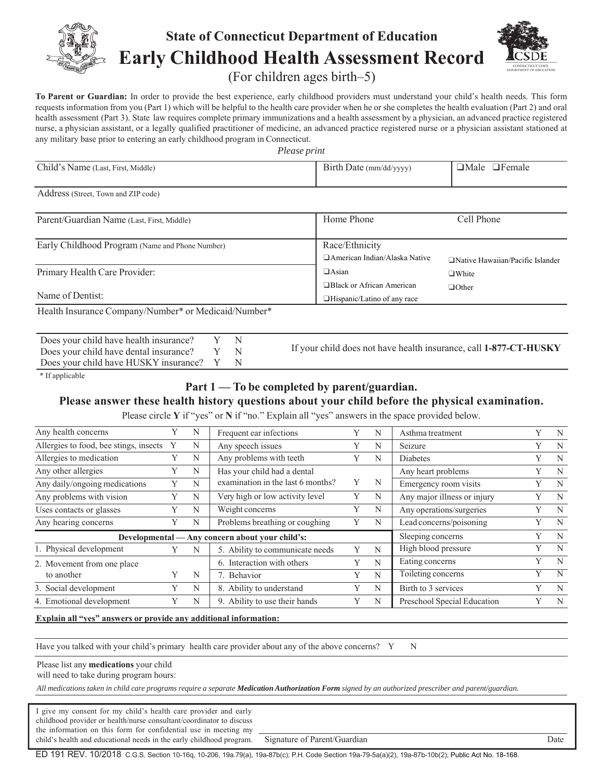

# **State of Connecticut Department of Education Early Childhood Health Assessment Record**



(For children ages birth–5)

**To Parent or Guardian:** In order to provide the best experience, early childhood providers must understand your child's health needs. This form requests information from you (Part 1) which will be helpful to the health care provider when he or she completes the health evaluation (Part 2) and oral health assessment (Part 3). State law requires complete primary immunizations and a health assessment by a physician, an advanced practice registered nurse, a physician assistant, or a legally qualified practitioner of medicine, an advanced practice registered nurse or a physician assistant stationed at any military base prior to entering an early childhood program in Connecticut.

*Please print*

| Child's Name (Last, First, Middle)                                                                                                           |                |             |                                                                                                                                                                                        | Birth Date (mm/dd/yyyy)                                    |                | □Male □Female                                                        |                |                |
|----------------------------------------------------------------------------------------------------------------------------------------------|----------------|-------------|----------------------------------------------------------------------------------------------------------------------------------------------------------------------------------------|------------------------------------------------------------|----------------|----------------------------------------------------------------------|----------------|----------------|
| Address (Street, Town and ZIP code)                                                                                                          |                |             |                                                                                                                                                                                        |                                                            |                |                                                                      |                |                |
| Parent/Guardian Name (Last, First, Middle)                                                                                                   |                |             |                                                                                                                                                                                        | Home Phone                                                 |                | Cell Phone                                                           |                |                |
| Early Childhood Program (Name and Phone Number)                                                                                              |                |             |                                                                                                                                                                                        | Race/Ethnicity                                             |                | □ American Indian/Alaska Native<br>□Native Hawaiian/Pacific Islander |                |                |
| Primary Health Care Provider:                                                                                                                |                |             |                                                                                                                                                                                        | $\Box$ Asian                                               |                | $\Box$ White                                                         |                |                |
| Name of Dentist:                                                                                                                             |                |             |                                                                                                                                                                                        | □Black or African American<br>□Hispanic/Latino of any race |                | $\Box$ Other                                                         |                |                |
| Health Insurance Company/Number* or Medicaid/Number*                                                                                         |                |             |                                                                                                                                                                                        |                                                            |                |                                                                      |                |                |
| Does your child have health insurance?<br>Does your child have dental insurance?<br>Does your child have HUSKY insurance?<br>* If applicable |                |             | Y<br>N<br>$\mathbf Y$<br>N<br>Y<br>N<br>Part 1 — To be completed by parent/guardian.<br>Please answer these health history questions about your child before the physical examination. |                                                            |                | If your child does not have health insurance, call 1-877-CT-HUSKY    |                |                |
|                                                                                                                                              |                |             | Please circle Y if "yes" or N if "no." Explain all "yes" answers in the space provided below.                                                                                          |                                                            |                |                                                                      |                |                |
| Any health concerns                                                                                                                          | Y              | N           | Frequent ear infections                                                                                                                                                                | Y                                                          | N              | Asthma treatment                                                     | Y              | N              |
| Allergies to food, bee stings, insects                                                                                                       | Y              | $\mathbf N$ | Any speech issues                                                                                                                                                                      | Y                                                          | N              | Seizure                                                              | Y              | N              |
| Allergies to medication                                                                                                                      | Y              | N           | Any problems with teeth                                                                                                                                                                | Y                                                          | N              | <b>Diabetes</b>                                                      | Y              | $\mathbf N$    |
| Any other allergies                                                                                                                          | $\mathbf Y$    | N           | Has your child had a dental                                                                                                                                                            |                                                            |                | Any heart problems                                                   | Y              | $\mathbf N$    |
| Any daily/ongoing medications                                                                                                                | $\overline{Y}$ | ${\bf N}$   | examination in the last 6 months?                                                                                                                                                      | Y                                                          | N              | Emergency room visits                                                | $\mathbf Y$    | ${\bf N}$      |
| Any problems with vision                                                                                                                     | $\overline{Y}$ | $\mathbf N$ | Very high or low activity level                                                                                                                                                        | $\overline{Y}$                                             | $\mathbf N$    | Any major illness or injury                                          | $\overline{Y}$ | $\overline{N}$ |
| Uses contacts or glasses                                                                                                                     | $\overline{Y}$ | N           | Weight concerns                                                                                                                                                                        | $\overline{Y}$                                             | $\mathbf N$    | Any operations/surgeries                                             |                |                |
|                                                                                                                                              |                |             |                                                                                                                                                                                        |                                                            |                |                                                                      | $\overline{Y}$ | $\mathbf N$    |
| Any hearing concerns                                                                                                                         | $\overline{Y}$ | N           | Problems breathing or coughing                                                                                                                                                         | Y                                                          | N              | Lead concerns/poisoning                                              | $\overline{Y}$ | N              |
| Developmental                                                                                                                                |                |             | Any concern about your child's:                                                                                                                                                        |                                                            |                | Sleeping concerns                                                    | Y              | $\mathbf N$    |
| 1. Physical development                                                                                                                      | Y              | N           | 5. Ability to communicate needs                                                                                                                                                        | Y                                                          | N              | High blood pressure                                                  | $\overline{Y}$ | $\overline{N}$ |
| 2. Movement from one place                                                                                                                   |                |             | 6. Interaction with others                                                                                                                                                             | Y                                                          | $\mathbf N$    | Eating concerns                                                      | $\overline{Y}$ | $\mathbf N$    |
| to another                                                                                                                                   | Y              | N           | 7. Behavior                                                                                                                                                                            | Y                                                          | $\mathbf N$    | Toileting concerns                                                   | $\overline{Y}$ | $\overline{N}$ |
| 3. Social development                                                                                                                        | Y              | $\mathbf N$ | 8. Ability to understand                                                                                                                                                               | $\overline{Y}$                                             | $\overline{N}$ | Birth to 3 services                                                  | $\overline{Y}$ | $\overline{N}$ |

#### **Explain all "yes" answers or provide any additional information:**

Have you talked with your child's primary health care provider about any of the above concerns? Y N

Please list any **medications** your child

will need to take during program hours:

*All medications taken in child care programs require a separate Medication Authorization Form signed by an authorized prescriber and parent/guardian.*

I give my consent for my child's health care provider and early childhood provider or health/nurse consultant/coordinator to discuss the information on this form for confidential use in meeting my child's health and educational needs in the early childhood program. Signature of Parent/Guardian Date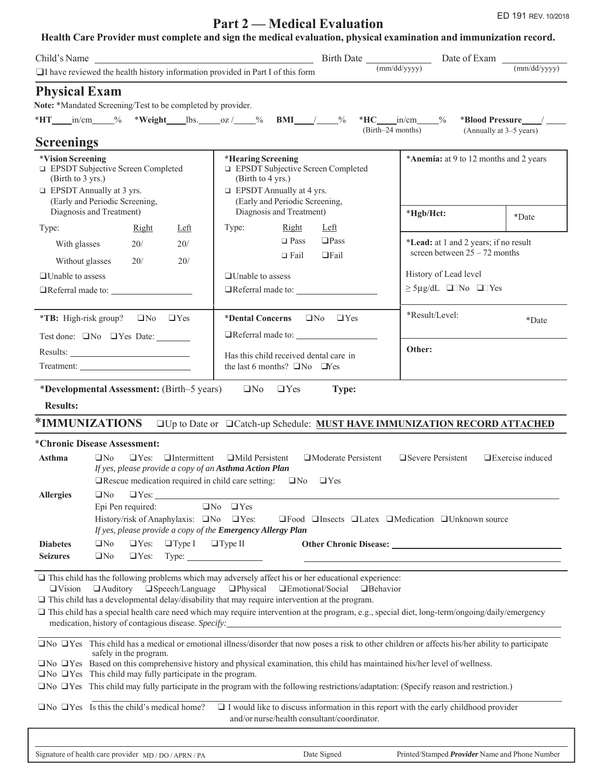## **Part 2 — Medical Evaluation** ED 191 REV. 10/2018

### **Health Care Provider must complete and sign the medical evaluation, physical examination and immunization record.**

|                                                                                                                                    |                                                                                                                                                                                                                                    | Child's Name                                                                                                                                                                                                                                                                                                                                                                                                                                                                                                  |                                          |                                                                                             |                         |  |  |
|------------------------------------------------------------------------------------------------------------------------------------|------------------------------------------------------------------------------------------------------------------------------------------------------------------------------------------------------------------------------------|---------------------------------------------------------------------------------------------------------------------------------------------------------------------------------------------------------------------------------------------------------------------------------------------------------------------------------------------------------------------------------------------------------------------------------------------------------------------------------------------------------------|------------------------------------------|---------------------------------------------------------------------------------------------|-------------------------|--|--|
|                                                                                                                                    |                                                                                                                                                                                                                                    | I have reviewed the health history information provided in Part I of this form                                                                                                                                                                                                                                                                                                                                                                                                                                |                                          | (mm/dd/yyyy)                                                                                | (mm/dd/yyyy)            |  |  |
| <b>Physical Exam</b>                                                                                                               | Note: *Mandated Screening/Test to be completed by provider.                                                                                                                                                                        | *HT____in/cm____% *Weight____lbs._____oz /_____% BMI____/____% *HC____in/cm_____%                                                                                                                                                                                                                                                                                                                                                                                                                             |                                          |                                                                                             |                         |  |  |
| <b>Screenings</b>                                                                                                                  |                                                                                                                                                                                                                                    |                                                                                                                                                                                                                                                                                                                                                                                                                                                                                                               | (Birth-24 months)                        |                                                                                             | (Annually at 3–5 years) |  |  |
| *Vision Screening<br>(Birth to 3 yrs.)<br>□ EPSDT Annually at 3 yrs.<br>(Early and Periodic Screening,<br>Diagnosis and Treatment) | <b>EPSDT</b> Subjective Screen Completed                                                                                                                                                                                           | *Hearing Screening<br><b>EPSDT</b> Subjective Screen Completed<br>(Birth to 4 yrs.)<br>$\Box$ EPSDT Annually at 4 yrs.<br>(Early and Periodic Screening,<br>Diagnosis and Treatment)                                                                                                                                                                                                                                                                                                                          |                                          | *Anemia: at 9 to 12 months and 2 years<br>*Hgb/Hct:                                         |                         |  |  |
| Type:                                                                                                                              | Right<br>Left                                                                                                                                                                                                                      | Right<br>Type:                                                                                                                                                                                                                                                                                                                                                                                                                                                                                                | Left                                     |                                                                                             | *Date                   |  |  |
| With glasses                                                                                                                       | 20/<br>20/                                                                                                                                                                                                                         | $\Box$ Pass                                                                                                                                                                                                                                                                                                                                                                                                                                                                                                   | $\square$ Pass                           | *Lead: at 1 and 2 years; if no result                                                       |                         |  |  |
| Without glasses                                                                                                                    | 20/<br>20/                                                                                                                                                                                                                         | $\Box$ Fail                                                                                                                                                                                                                                                                                                                                                                                                                                                                                                   | $\Box$ Fail                              | screen between $25 - 72$ months                                                             |                         |  |  |
| $\Box$ Unable to assess                                                                                                            |                                                                                                                                                                                                                                    | $\Box$ Unable to assess                                                                                                                                                                                                                                                                                                                                                                                                                                                                                       |                                          | History of Lead level                                                                       |                         |  |  |
|                                                                                                                                    | □Referral made to:                                                                                                                                                                                                                 | □Referral made to: <u>●</u>                                                                                                                                                                                                                                                                                                                                                                                                                                                                                   |                                          | $\geq$ 5µg/dL $\Box$ No $\Box$ Yes                                                          |                         |  |  |
|                                                                                                                                    | *TB: High-risk group? $\Box$ No $\Box$ Yes<br>Test done: No UYes Date:                                                                                                                                                             | *Dental Concerns                                                                                                                                                                                                                                                                                                                                                                                                                                                                                              | $\Box$ No $\Box$ Yes                     | *Result/Level:                                                                              | *Date                   |  |  |
|                                                                                                                                    | Treatment: The contract of the contract of the contract of the contract of the contract of the contract of the contract of the contract of the contract of the contract of the contract of the contract of the contract of the     | Has this child received dental care in<br>the last 6 months? $\Box$ No $\Box$ Yes                                                                                                                                                                                                                                                                                                                                                                                                                             |                                          | Other:                                                                                      |                         |  |  |
|                                                                                                                                    | *Developmental Assessment: (Birth–5 years)                                                                                                                                                                                         | $\Box$ No $\Box$ Yes                                                                                                                                                                                                                                                                                                                                                                                                                                                                                          | Type:                                    |                                                                                             |                         |  |  |
| <b>Results:</b>                                                                                                                    |                                                                                                                                                                                                                                    |                                                                                                                                                                                                                                                                                                                                                                                                                                                                                                               |                                          |                                                                                             |                         |  |  |
| *IMMUNIZATIONS                                                                                                                     |                                                                                                                                                                                                                                    | <b>QUp to Date or QCatch-up Schedule: MUST HAVE IMMUNIZATION RECORD ATTACHED</b>                                                                                                                                                                                                                                                                                                                                                                                                                              |                                          |                                                                                             |                         |  |  |
| *Chronic Disease Assessment:                                                                                                       |                                                                                                                                                                                                                                    |                                                                                                                                                                                                                                                                                                                                                                                                                                                                                                               |                                          |                                                                                             |                         |  |  |
| Asthma                                                                                                                             | $\Box$ No<br>$\Box$ Yes:                                                                                                                                                                                                           | $\Box$ Intermittent<br>$\Box$ Mild Persistent<br>If yes, please provide a copy of an Asthma Action Plan<br>$\Box$ Rescue medication required in child care setting: $\Box$ No                                                                                                                                                                                                                                                                                                                                 | $\Box$ Moderate Persistent<br>$\Box$ Yes | $\Box$ Severe Persistent                                                                    | $\Box$ Exercise induced |  |  |
| <b>Allergies</b>                                                                                                                   | $\Box$ Yes:<br>$\Box$ No<br>Epi Pen required:<br>$\Box$ No $\Box$ Yes<br>History/risk of Anaphylaxis: No UYes:<br>□Food □Insects □Latex □Medication □Unknown source<br>If yes, please provide a copy of the Emergency Allergy Plan |                                                                                                                                                                                                                                                                                                                                                                                                                                                                                                               |                                          |                                                                                             |                         |  |  |
| <b>Diabetes</b>                                                                                                                    | $\Box$ No<br>$\Box$ Yes:                                                                                                                                                                                                           | $\Box$ Type I $\Box$ Type II                                                                                                                                                                                                                                                                                                                                                                                                                                                                                  |                                          |                                                                                             |                         |  |  |
| <b>Seizures</b>                                                                                                                    | $\Box$ No<br>$\Box$ Yes:                                                                                                                                                                                                           | $Type: \_\_\_\_\_\_\_\_\_\_\_\_\_\_\_\_\_\_\_\_\_\_$                                                                                                                                                                                                                                                                                                                                                                                                                                                          |                                          |                                                                                             |                         |  |  |
| $\Box$ Vision                                                                                                                      |                                                                                                                                                                                                                                    | $\Box$ This child has the following problems which may adversely affect his or her educational experience:<br>$\Box$ Auditory $\Box$ Speech/Language $\Box$ Physical $\Box$ Emotional/Social<br>$\Box$ This child has a developmental delay/disability that may require intervention at the program.<br>This child has a special health care need which may require intervention at the program, e.g., special diet, long-term/ongoing/daily/emergency<br>medication, history of contagious disease. Specify: | <b>Behavior</b>                          |                                                                                             |                         |  |  |
|                                                                                                                                    | safely in the program.                                                                                                                                                                                                             | $\Box$ No $\Box$ Yes This child has a medical or emotional illness/disorder that now poses a risk to other children or affects his/her ability to participate                                                                                                                                                                                                                                                                                                                                                 |                                          |                                                                                             |                         |  |  |
|                                                                                                                                    | $\Box$ No $\Box$ Yes This child may fully participate in the program.                                                                                                                                                              | □No □Yes Based on this comprehensive history and physical examination, this child has maintained his/her level of wellness.<br>$\Box$ No $\Box$ Yes This child may fully participate in the program with the following restrictions/adaptation: (Specify reason and restriction.)                                                                                                                                                                                                                             |                                          |                                                                                             |                         |  |  |
|                                                                                                                                    | $\Box$ No $\Box$ Yes Is this the child's medical home?                                                                                                                                                                             | and/or nurse/health consultant/coordinator.                                                                                                                                                                                                                                                                                                                                                                                                                                                                   |                                          | $\Box$ I would like to discuss information in this report with the early childhood provider |                         |  |  |
|                                                                                                                                    |                                                                                                                                                                                                                                    |                                                                                                                                                                                                                                                                                                                                                                                                                                                                                                               |                                          |                                                                                             |                         |  |  |
|                                                                                                                                    |                                                                                                                                                                                                                                    |                                                                                                                                                                                                                                                                                                                                                                                                                                                                                                               |                                          |                                                                                             |                         |  |  |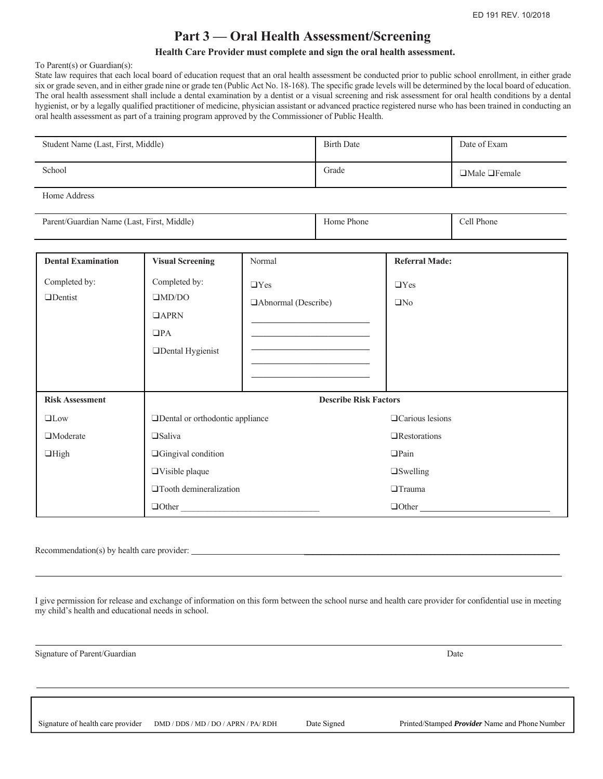### **Part 3 — Oral Health Assessment/Screening**

#### **Health Care Provider must complete and sign the oral health assessment.**

To Parent(s) or Guardian(s):

State law requires that each local board of education request that an oral health assessment be conducted prior to public school enrollment, in either grade six or grade seven, and in either grade nine or grade ten (Public Act No. 18-168). The specific grade levels will be determined by the local board of education. The oral health assessment shall include a dental examination by a dentist or a visual screening and risk assessment for oral health conditions by a dental hygienist, or by a legally qualified practitioner of medicine, physician assistant or advanced practice registered nurse who has been trained in conducting an oral health assessment as part of a training program approved by the Commissioner of Public Health.

| Student Name (Last, First, Middle)         |                                                                                       | <b>Birth Date</b>                                                                                                                            |                              | Date of Exam            |            |  |
|--------------------------------------------|---------------------------------------------------------------------------------------|----------------------------------------------------------------------------------------------------------------------------------------------|------------------------------|-------------------------|------------|--|
| School                                     |                                                                                       | Grade                                                                                                                                        |                              | □Male □Female           |            |  |
| Home Address                               |                                                                                       |                                                                                                                                              |                              |                         |            |  |
| Parent/Guardian Name (Last, First, Middle) |                                                                                       |                                                                                                                                              | Home Phone                   |                         | Cell Phone |  |
| <b>Dental Examination</b>                  | <b>Visual Screening</b>                                                               | Normal                                                                                                                                       |                              | <b>Referral Made:</b>   |            |  |
| Completed by:<br><b>OD</b> entist          | Completed by:<br>$\Box$ MD/DO<br>$\Box$ APRN<br>$\Box$ PA<br><b>IDental Hygienist</b> | $\Box$ Yes<br>□ Abnormal (Describe)<br><u> 1990 - Johann Barbara, martxa alemani</u> ar a<br><u> 1989 - Johann Barnett, fransk politik (</u> |                              | $\Box$ Yes<br>$\Box$ No |            |  |
| <b>Risk Assessment</b>                     |                                                                                       |                                                                                                                                              | <b>Describe Risk Factors</b> |                         |            |  |
| $\Box$ Low                                 | □Dental or orthodontic appliance                                                      |                                                                                                                                              |                              | □ Carious lesions       |            |  |
| <b>I</b> Moderate                          | $\square$ Saliva                                                                      |                                                                                                                                              |                              | $\Box$ Restorations     |            |  |
| $\Box$ High                                | <b>Gingival</b> condition                                                             |                                                                                                                                              |                              | $\Box$ Pain             |            |  |
|                                            | $\Box$ Visible plaque                                                                 |                                                                                                                                              |                              | $\Box$ Swelling         |            |  |
|                                            | <b>Tooth demineralization</b>                                                         |                                                                                                                                              |                              | $\Box$ Trauma           |            |  |
|                                            | $\Box$ Other                                                                          |                                                                                                                                              | $\Box$ Other                 |                         |            |  |

Recommendation(s) by health care provider:  $\overline{\phantom{a}}$ 

I give permission for release and exchange of information on this form between the school nurse and health care provider for confidential use in meeting my child's health and educational needs in school.

Signature of Parent/Guardian Date